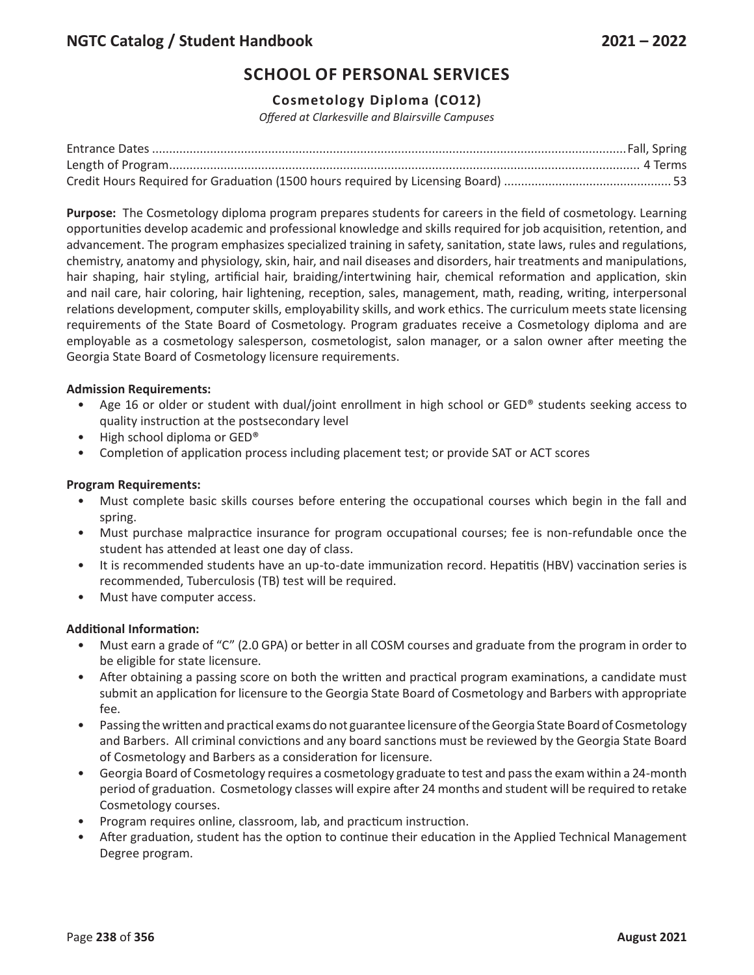## **Cosmetology Diploma (CO12)**

*Offered at Clarkesville and Blairsville Campuses*

**Purpose:** The Cosmetology diploma program prepares students for careers in the field of cosmetology. Learning opportunities develop academic and professional knowledge and skills required for job acquisition, retention, and advancement. The program emphasizes specialized training in safety, sanitation, state laws, rules and regulations, chemistry, anatomy and physiology, skin, hair, and nail diseases and disorders, hair treatments and manipulations, hair shaping, hair styling, artificial hair, braiding/intertwining hair, chemical reformation and application, skin and nail care, hair coloring, hair lightening, reception, sales, management, math, reading, writing, interpersonal relations development, computer skills, employability skills, and work ethics. The curriculum meets state licensing requirements of the State Board of Cosmetology. Program graduates receive a Cosmetology diploma and are employable as a cosmetology salesperson, cosmetologist, salon manager, or a salon owner after meeting the Georgia State Board of Cosmetology licensure requirements.

### **Admission Requirements:**

- Age 16 or older or student with dual/joint enrollment in high school or GED® students seeking access to quality instruction at the postsecondary level
- High school diploma or GED®
- Completion of application process including placement test; or provide SAT or ACT scores

### **Program Requirements:**

- Must complete basic skills courses before entering the occupational courses which begin in the fall and spring.
- Must purchase malpractice insurance for program occupational courses; fee is non-refundable once the student has attended at least one day of class.
- It is recommended students have an up-to-date immunization record. Hepatitis (HBV) vaccination series is recommended, Tuberculosis (TB) test will be required.
- Must have computer access.

#### **Additional Information:**

- Must earn a grade of "C" (2.0 GPA) or better in all COSM courses and graduate from the program in order to be eligible for state licensure.
- After obtaining a passing score on both the written and practical program examinations, a candidate must submit an application for licensure to the Georgia State Board of Cosmetology and Barbers with appropriate fee.
- Passing the written and practical exams do not guarantee licensure of the Georgia State Board of Cosmetology and Barbers. All criminal convictions and any board sanctions must be reviewed by the Georgia State Board of Cosmetology and Barbers as a consideration for licensure.
- Georgia Board of Cosmetology requires a cosmetology graduate to test and pass the exam within a 24-month period of graduation. Cosmetology classes will expire after 24 months and student will be required to retake Cosmetology courses.
- Program requires online, classroom, lab, and practicum instruction.
- After graduation, student has the option to continue their education in the Applied Technical Management Degree program.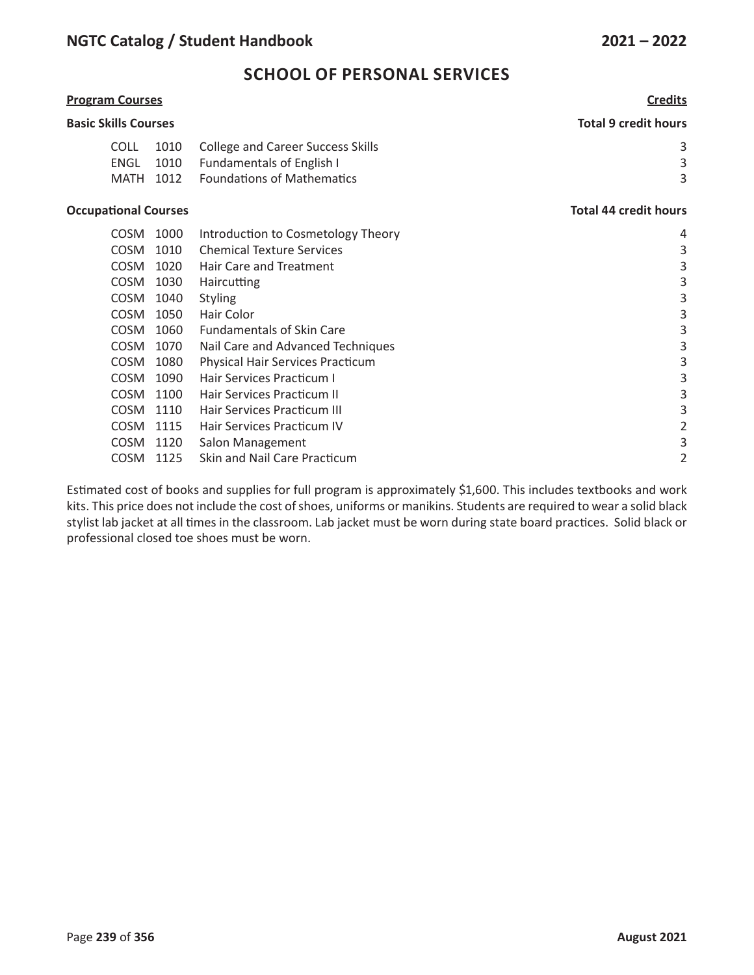| <b>Program Courses</b>      |              |                                                                       | <b>Credits</b>               |  |
|-----------------------------|--------------|-----------------------------------------------------------------------|------------------------------|--|
| <b>Basic Skills Courses</b> |              |                                                                       | <b>Total 9 credit hours</b>  |  |
| COLL<br><b>ENGL</b>         | 1010<br>1010 | <b>College and Career Success Skills</b><br>Fundamentals of English I | 3<br>3                       |  |
| <b>MATH</b>                 | 1012         | <b>Foundations of Mathematics</b>                                     | 3                            |  |
| <b>Occupational Courses</b> |              |                                                                       | <b>Total 44 credit hours</b> |  |
| <b>COSM</b>                 | 1000         | Introduction to Cosmetology Theory                                    | 4                            |  |
| <b>COSM</b>                 | 1010         | <b>Chemical Texture Services</b>                                      | 3                            |  |
| <b>COSM</b>                 | 1020         | Hair Care and Treatment                                               | 3                            |  |
| <b>COSM</b>                 | 1030         | <b>Haircutting</b>                                                    | 3                            |  |
| <b>COSM</b>                 | 1040         | <b>Styling</b>                                                        | 3                            |  |
| <b>COSM</b>                 | 1050         | Hair Color                                                            | 3                            |  |
| <b>COSM</b>                 | 1060         | <b>Fundamentals of Skin Care</b>                                      | 3                            |  |
| <b>COSM</b>                 | 1070         | Nail Care and Advanced Techniques                                     | 3                            |  |
| <b>COSM</b>                 | 1080         | <b>Physical Hair Services Practicum</b>                               | 3                            |  |

COSM 1125 Skin and Nail Care Practicum 2 Estimated cost of books and supplies for full program is approximately \$1,600. This includes textbooks and work kits. This price does not include the cost of shoes, uniforms or manikins. Students are required to wear a solid black stylist lab jacket at all times in the classroom. Lab jacket must be worn during state board practices. Solid black or professional closed toe shoes must be worn.

COSM 1090 Hair Services Practicum I 3 COSM 1100 Hair Services Practicum II 3 COSM 1110 Hair Services Practicum III 3 COSM 1115 Hair Services Practicum IV 2 COSM 1120 Salon Management 3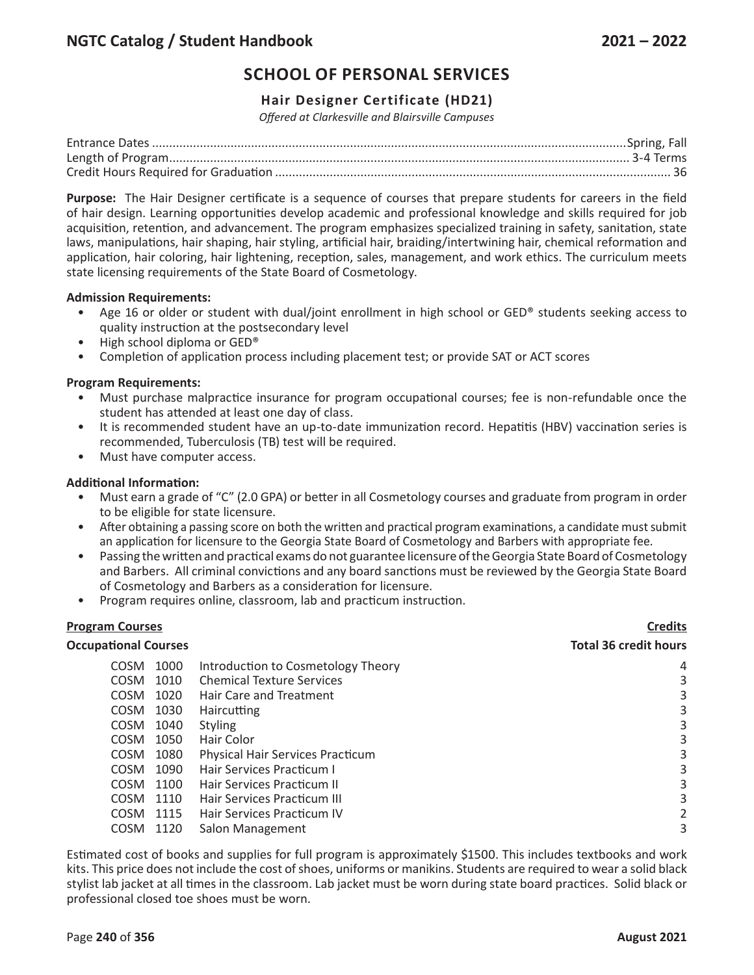## **Hair Designer Certificate (HD21)**

*Offered at Clarkesville and Blairsville Campuses*

**Purpose:** The Hair Designer certificate is a sequence of courses that prepare students for careers in the field of hair design. Learning opportunities develop academic and professional knowledge and skills required for job acquisition, retention, and advancement. The program emphasizes specialized training in safety, sanitation, state laws, manipulations, hair shaping, hair styling, artificial hair, braiding/intertwining hair, chemical reformation and application, hair coloring, hair lightening, reception, sales, management, and work ethics. The curriculum meets state licensing requirements of the State Board of Cosmetology.

#### **Admission Requirements:**

- Age 16 or older or student with dual/joint enrollment in high school or GED® students seeking access to quality instruction at the postsecondary level
- High school diploma or GED®
- Completion of application process including placement test; or provide SAT or ACT scores

### **Program Requirements:**

- Must purchase malpractice insurance for program occupational courses; fee is non-refundable once the student has attended at least one day of class.
- It is recommended student have an up-to-date immunization record. Hepatitis (HBV) vaccination series is recommended, Tuberculosis (TB) test will be required.
- Must have computer access.

### **Additional Information:**

- Must earn a grade of "C" (2.0 GPA) or better in all Cosmetology courses and graduate from program in order to be eligible for state licensure.
- After obtaining a passing score on both the written and practical program examinations, a candidate must submit an application for licensure to the Georgia State Board of Cosmetology and Barbers with appropriate fee.
- Passing the written and practical exams do not guarantee licensure of the Georgia State Board of Cosmetology and Barbers. All criminal convictions and any board sanctions must be reviewed by the Georgia State Board of Cosmetology and Barbers as a consideration for licensure.
- Program requires online, classroom, lab and practicum instruction.

### **Program Courses Credits**

#### **Occupational Courses Total 36 credit hours**

| <b>COSM</b> | 1000 | Introduction to Cosmetology Theory      | 4 |
|-------------|------|-----------------------------------------|---|
| COSM        | 1010 | <b>Chemical Texture Services</b>        | 3 |
| <b>COSM</b> | 1020 | Hair Care and Treatment                 |   |
| <b>COSM</b> | 1030 | <b>Haircutting</b>                      | 3 |
| <b>COSM</b> | 1040 | <b>Styling</b>                          | 3 |
| <b>COSM</b> | 1050 | Hair Color                              | 3 |
| <b>COSM</b> | 1080 | <b>Physical Hair Services Practicum</b> | 3 |
| <b>COSM</b> | 1090 | Hair Services Practicum I               | 3 |
| COSM.       | 1100 | Hair Services Practicum II              |   |
| COSM.       | 1110 | Hair Services Practicum III             | 3 |
| COSM.       | 1115 | Hair Services Practicum IV              |   |
| <b>COSM</b> | 1120 | Salon Management                        |   |

Estimated cost of books and supplies for full program is approximately \$1500. This includes textbooks and work kits. This price does not include the cost of shoes, uniforms or manikins. Students are required to wear a solid black stylist lab jacket at all times in the classroom. Lab jacket must be worn during state board practices. Solid black or professional closed toe shoes must be worn.